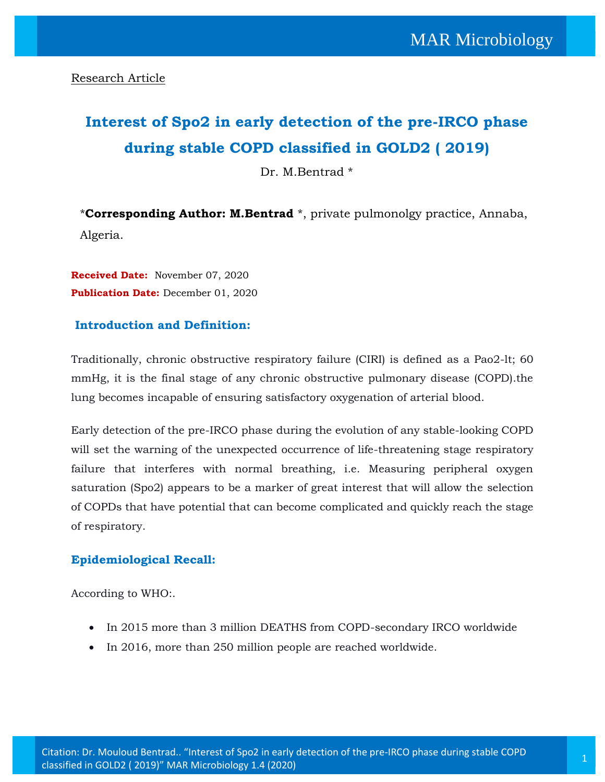# **Interest of Spo2 in early detection of the pre-IRCO phase during stable COPD classified in GOLD2 ( 2019)**

Dr. M.Bentrad \*

\***Corresponding Author: M.Bentrad** \*, private pulmonolgy practice, Annaba, Algeria.

**Received Date:** November 07, 2020 Publication Date: December 01, 2020

## **Introduction and Definition:**

Traditionally, chronic obstructive respiratory failure (CIRI) is defined as a Pao2-lt; 60 mmHg, it is the final stage of any chronic obstructive pulmonary disease (COPD).the lung becomes incapable of ensuring satisfactory oxygenation of arterial blood.

Early detection of the pre-IRCO phase during the evolution of any stable-looking COPD will set the warning of the unexpected occurrence of life-threatening stage respiratory failure that interferes with normal breathing, i.e. Measuring peripheral oxygen saturation (Spo2) appears to be a marker of great interest that will allow the selection of COPDs that have potential that can become complicated and quickly reach the stage of respiratory.

## **Epidemiological Recall:**

According to WHO:.

- In 2015 more than 3 million DEATHS from COPD-secondary IRCO worldwide
- In 2016, more than 250 million people are reached worldwide.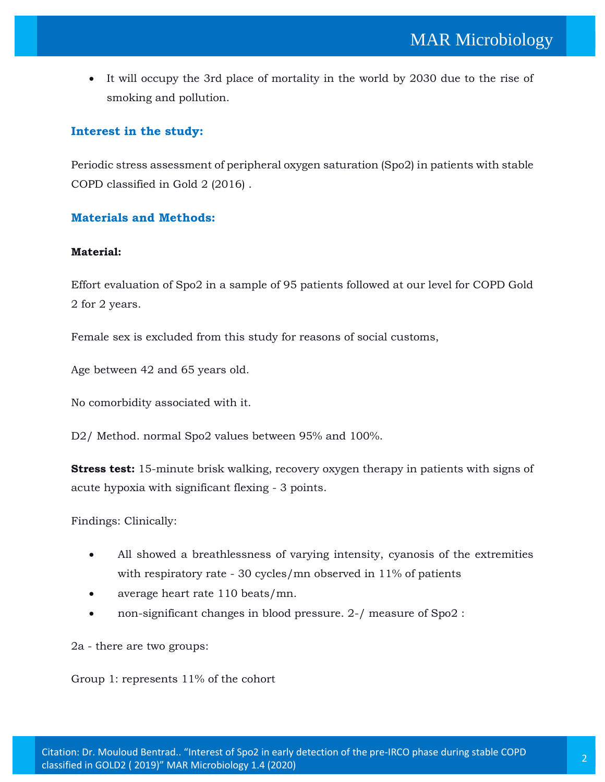It will occupy the 3rd place of mortality in the world by 2030 due to the rise of smoking and pollution.

## **Interest in the study:**

Periodic stress assessment of peripheral oxygen saturation (Spo2) in patients with stable COPD classified in Gold 2 (2016) .

## **Materials and Methods:**

#### **Material:**

Effort evaluation of Spo2 in a sample of 95 patients followed at our level for COPD Gold 2 for 2 years.

Female sex is excluded from this study for reasons of social customs,

Age between 42 and 65 years old.

No comorbidity associated with it.

D2/ Method. normal Spo2 values between 95% and 100%.

**Stress test:** 15-minute brisk walking, recovery oxygen therapy in patients with signs of acute hypoxia with significant flexing - 3 points.

Findings: Clinically:

- All showed a breathlessness of varying intensity, cyanosis of the extremities with respiratory rate - 30 cycles/mn observed in 11% of patients
- average heart rate 110 beats/mn.
- non-significant changes in blood pressure. 2-/ measure of Spo2 :

2a - there are two groups:

Group 1: represents 11% of the cohort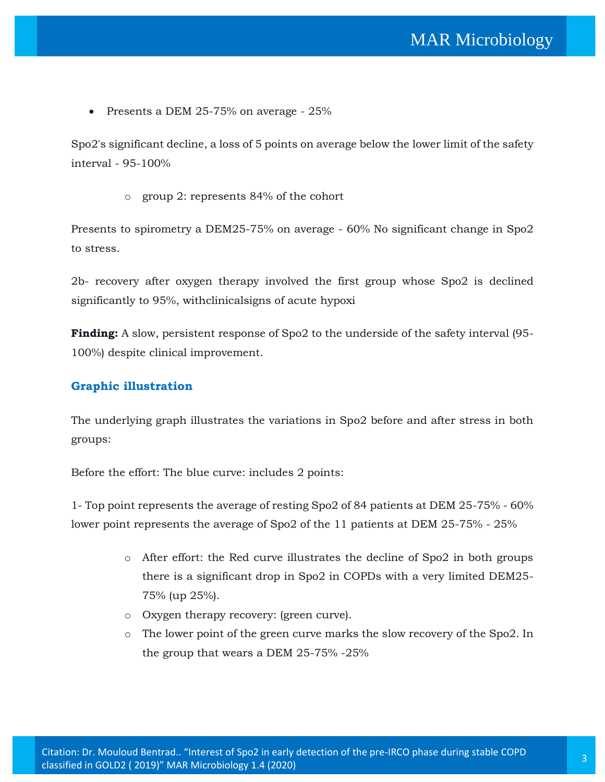• Presents a DEM 25-75% on average - 25%

Spo2's significant decline, a loss of 5 points on average below the lower limit of the safety interval - 95-100%

o group 2: represents 84% of the cohort

Presents to spirometry a DEM25-75% on average - 60% No significant change in Spo2 to stress.

2b- recovery after oxygen therapy involved the first group whose Spo2 is declined significantly to 95%, withclinicalsigns of acute hypoxi

**Finding:** A slow, persistent response of Spo2 to the underside of the safety interval (95- 100%) despite clinical improvement.

## **Graphic illustration**

The underlying graph illustrates the variations in Spo2 before and after stress in both groups:

Before the effort: The blue curve: includes 2 points:

1- Top point represents the average of resting Spo2 of 84 patients at DEM 25-75% - 60% lower point represents the average of Spo2 of the 11 patients at DEM 25-75% - 25%

- o After effort: the Red curve illustrates the decline of Spo2 in both groups there is a significant drop in Spo2 in COPDs with a very limited DEM25- 75% (up 25%).
- o Oxygen therapy recovery: (green curve).
- o The lower point of the green curve marks the slow recovery of the Spo2. In the group that wears a DEM 25-75% -25%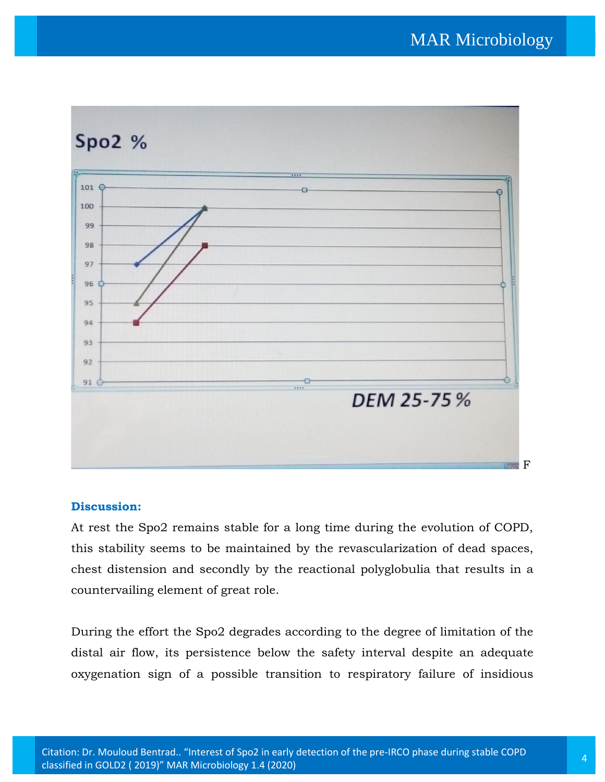

# **Discussion:**

At rest the Spo2 remains stable for a long time during the evolution of COPD, this stability seems to be maintained by the revascularization of dead spaces, chest distension and secondly by the reactional polyglobulia that results in a countervailing element of great role.

During the effort the Spo2 degrades according to the degree of limitation of the distal air flow, its persistence below the safety interval despite an adequate oxygenation sign of a possible transition to respiratory failure of insidious